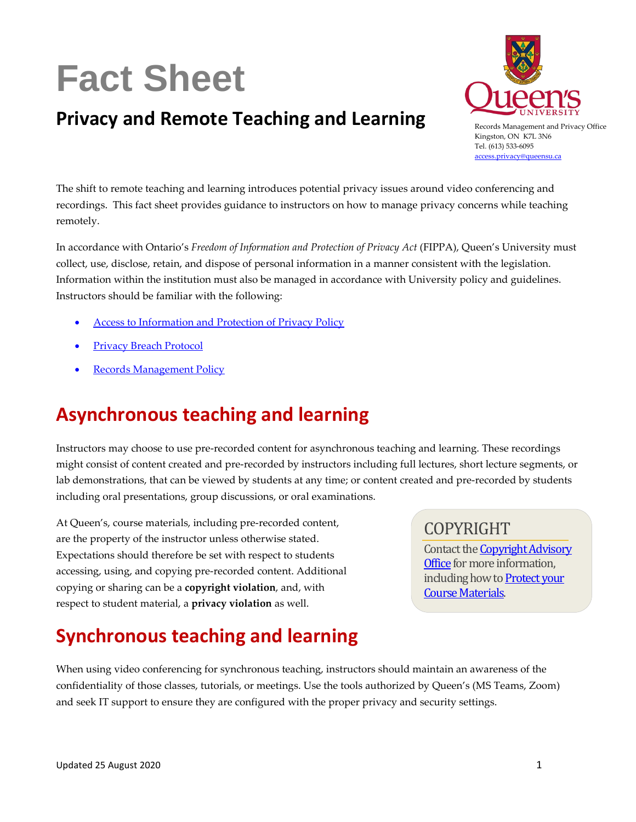# **Fact Sheet**

### **Privacy and Remote Teaching and Learning**



Records Management and Privacy Office Kingston, ON K7L 3N6 Tel. (613) 533-6095 [access.privacy@queensu.ca](mailto:access.privacy@queensu.ca)

The shift to remote teaching and learning introduces potential privacy issues around video conferencing and recordings. This fact sheet provides guidance to instructors on how to manage privacy concerns while teaching remotely.

In accordance with Ontario's *Freedom of Information and Protection of Privacy Act* (FIPPA), Queen's University must collect, use, disclose, retain, and dispose of personal information in a manner consistent with the legislation. Information within the institution must also be managed in accordance with University policy and guidelines. Instructors should be familiar with the following:

- [Access to Information and Protection of Privacy Policy](https://www.queensu.ca/secretariat/policies/administration-and-operations/access-information-protection-privacy-policy)
- [Privacy Breach Protocol](https://www.queensu.ca/accessandprivacy/privacy/privacy-breaches)
- [Records Management Policy](https://www.queensu.ca/secretariat/policies/administration-and-operations/records-management-policy)

## **Asynchronous teaching and learning**

Instructors may choose to use pre-recorded content for asynchronous teaching and learning. These recordings might consist of content created and pre-recorded by instructors including full lectures, short lecture segments, or lab demonstrations, that can be viewed by students at any time; or content created and pre-recorded by students including oral presentations, group discussions, or oral examinations.

At Queen's, course materials, including pre-recorded content, are the property of the instructor unless otherwise stated. Expectations should therefore be set with respect to students accessing, using, and copying pre-recorded content. Additional copying or sharing can be a **copyright violation**, and, with respect to student material, a **privacy violation** as well.

### COPYRIGHT

Contact th[e Copyright Advisory](https://library.queensu.ca/help-services/copyright-fair-dealing)  Office for more information, including how t[o Protect your](https://library.queensu.ca/help-services/copyright-fair-dealing/protecting-your-course-materials)  [Course Materials.](https://library.queensu.ca/help-services/copyright-fair-dealing/protecting-your-course-materials)

## **Synchronous teaching and learning**

When using video conferencing for synchronous teaching, instructors should maintain an awareness of the confidentiality of those classes, tutorials, or meetings. Use the tools authorized by Queen's (MS Teams, Zoom) and seek IT support to ensure they are configured with the proper privacy and security settings.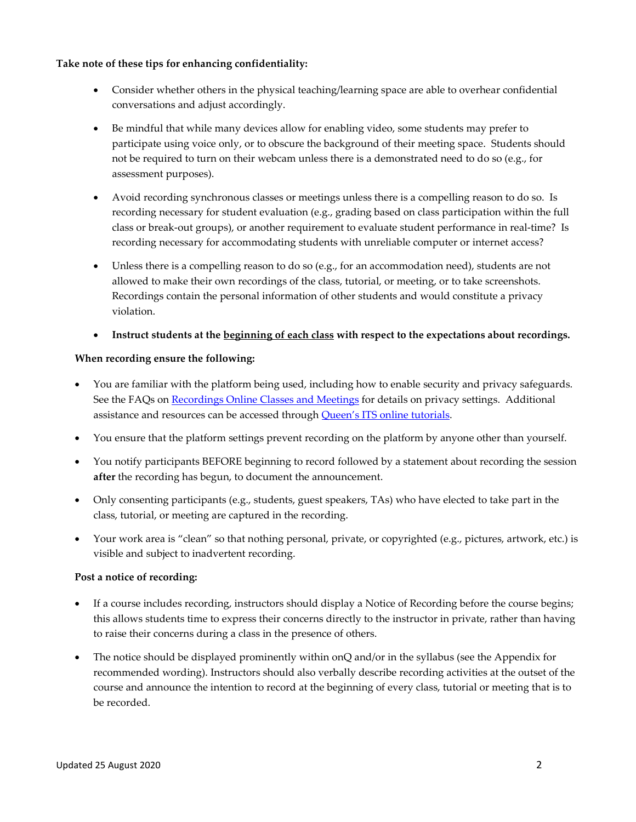#### **Take note of these tips for enhancing confidentiality:**

- Consider whether others in the physical teaching/learning space are able to overhear confidential conversations and adjust accordingly.
- Be mindful that while many devices allow for enabling video, some students may prefer to participate using voice only, or to obscure the background of their meeting space. Students should not be required to turn on their webcam unless there is a demonstrated need to do so (e.g., for assessment purposes).
- Avoid recording synchronous classes or meetings unless there is a compelling reason to do so. Is recording necessary for student evaluation (e.g., grading based on class participation within the full class or break-out groups), or another requirement to evaluate student performance in real-time? Is recording necessary for accommodating students with unreliable computer or internet access?
- Unless there is a compelling reason to do so (e.g., for an accommodation need), students are not allowed to make their own recordings of the class, tutorial, or meeting, or to take screenshots. Recordings contain the personal information of other students and would constitute a privacy violation.
- **Instruct students at the beginning of each class with respect to the expectations about recordings.**

#### **When recording ensure the following:**

- You are familiar with the platform being used, including how to enable security and privacy safeguards. See the FAQs on [Recordings Online Classes and Meetings](https://www.queensu.ca/accessandprivacy/faqs) for details on privacy settings. Additional assistance and resources can be accessed through [Queen's ITS online tutorials.](https://www.queensu.ca/its/self-help-tutorials/self-help)
- You ensure that the platform settings prevent recording on the platform by anyone other than yourself.
- You notify participants BEFORE beginning to record followed by a statement about recording the session **after** the recording has begun, to document the announcement.
- Only consenting participants (e.g., students, guest speakers, TAs) who have elected to take part in the class, tutorial, or meeting are captured in the recording.
- Your work area is "clean" so that nothing personal, private, or copyrighted (e.g., pictures, artwork, etc.) is visible and subject to inadvertent recording.

#### **Post a notice of recording:**

- If a course includes recording, instructors should display a Notice of Recording before the course begins; this allows students time to express their concerns directly to the instructor in private, rather than having to raise their concerns during a class in the presence of others.
- The notice should be displayed prominently within onQ and/or in the syllabus (see the Appendix for recommended wording). Instructors should also verbally describe recording activities at the outset of the course and announce the intention to record at the beginning of every class, tutorial or meeting that is to be recorded.